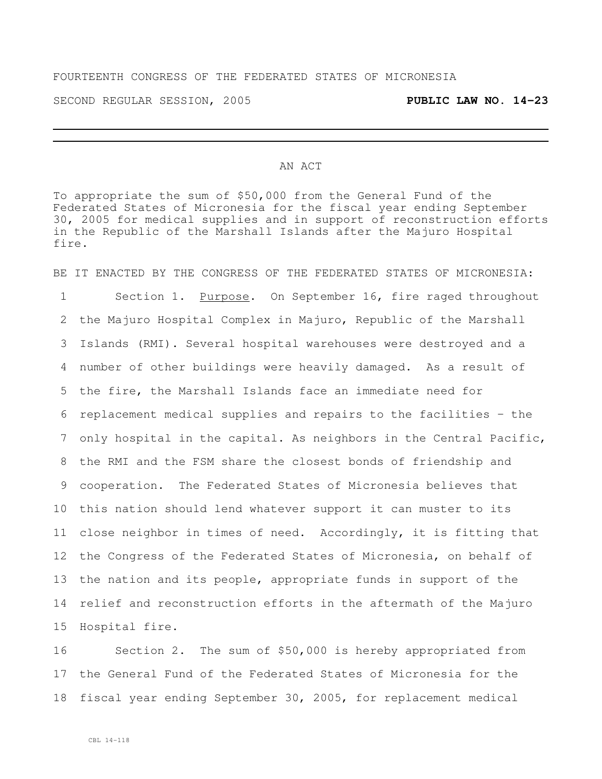## FOURTEENTH CONGRESS OF THE FEDERATED STATES OF MICRONESIA

SECOND REGULAR SESSION, 2005 **PUBLIC LAW NO. 14-23**

## AN ACT

To appropriate the sum of \$50,000 from the General Fund of the Federated States of Micronesia for the fiscal year ending September 30, 2005 for medical supplies and in support of reconstruction efforts in the Republic of the Marshall Islands after the Majuro Hospital fire.

BE IT ENACTED BY THE CONGRESS OF THE FEDERATED STATES OF MICRONESIA: 1 Section 1. Purpose. On September 16, fire raged throughout the Majuro Hospital Complex in Majuro, Republic of the Marshall Islands (RMI). Several hospital warehouses were destroyed and a number of other buildings were heavily damaged. As a result of the fire, the Marshall Islands face an immediate need for replacement medical supplies and repairs to the facilities – the only hospital in the capital. As neighbors in the Central Pacific, the RMI and the FSM share the closest bonds of friendship and cooperation. The Federated States of Micronesia believes that this nation should lend whatever support it can muster to its close neighbor in times of need. Accordingly, it is fitting that the Congress of the Federated States of Micronesia, on behalf of the nation and its people, appropriate funds in support of the relief and reconstruction efforts in the aftermath of the Majuro Hospital fire.

 Section 2. The sum of \$50,000 is hereby appropriated from the General Fund of the Federated States of Micronesia for the fiscal year ending September 30, 2005, for replacement medical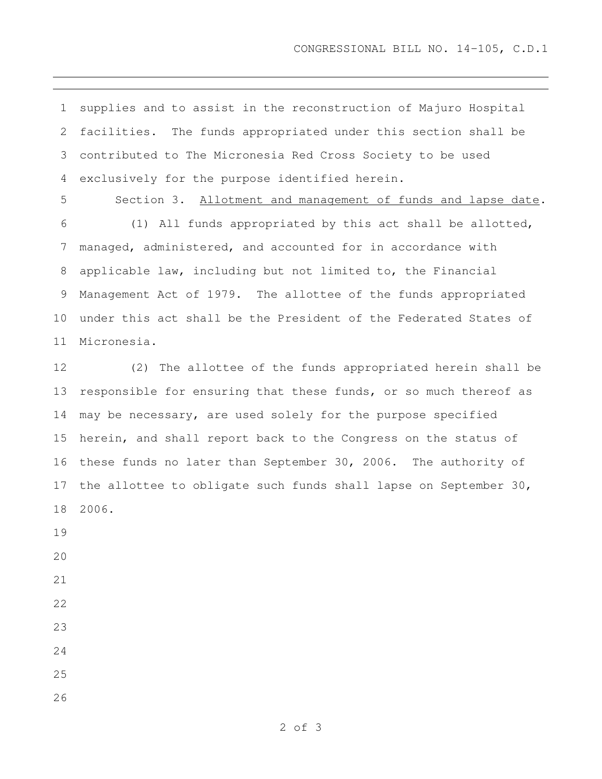supplies and to assist in the reconstruction of Majuro Hospital facilities. The funds appropriated under this section shall be contributed to The Micronesia Red Cross Society to be used exclusively for the purpose identified herein.

 Section 3. Allotment and management of funds and lapse date. (1) All funds appropriated by this act shall be allotted, managed, administered, and accounted for in accordance with applicable law, including but not limited to, the Financial Management Act of 1979. The allottee of the funds appropriated under this act shall be the President of the Federated States of Micronesia.

 (2) The allottee of the funds appropriated herein shall be responsible for ensuring that these funds, or so much thereof as may be necessary, are used solely for the purpose specified herein, and shall report back to the Congress on the status of these funds no later than September 30, 2006. The authority of the allottee to obligate such funds shall lapse on September 30, 2006.